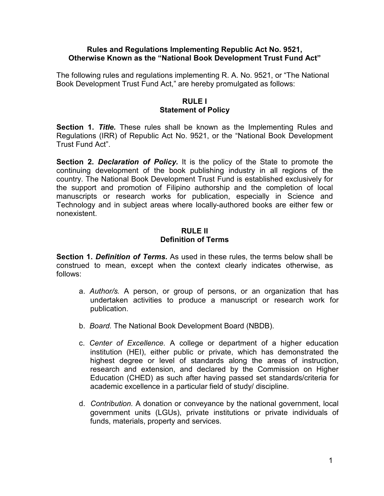#### Rules and Regulations Implementing Republic Act No. 9521, Otherwise Known as the "National Book Development Trust Fund Act"

The following rules and regulations implementing R. A. No. 9521, or "The National Book Development Trust Fund Act," are hereby promulgated as follows:

#### RULE I Statement of Policy

**Section 1. Title.** These rules shall be known as the Implementing Rules and Regulations (IRR) of Republic Act No. 9521, or the "National Book Development Trust Fund Act".

Section 2. Declaration of Policy. It is the policy of the State to promote the continuing development of the book publishing industry in all regions of the country. The National Book Development Trust Fund is established exclusively for the support and promotion of Filipino authorship and the completion of local manuscripts or research works for publication, especially in Science and Technology and in subject areas where locally-authored books are either few or nonexistent.

## RULE II Definition of Terms

Section 1. Definition of Terms. As used in these rules, the terms below shall be construed to mean, except when the context clearly indicates otherwise, as follows:

- a. Author/s. A person, or group of persons, or an organization that has undertaken activities to produce a manuscript or research work for publication.
- b. Board. The National Book Development Board (NBDB).
- c. Center of Excellence. A college or department of a higher education institution (HEI), either public or private, which has demonstrated the highest degree or level of standards along the areas of instruction, research and extension, and declared by the Commission on Higher Education (CHED) as such after having passed set standards/criteria for academic excellence in a particular field of study/ discipline.
- d. Contribution. A donation or conveyance by the national government, local government units (LGUs), private institutions or private individuals of funds, materials, property and services.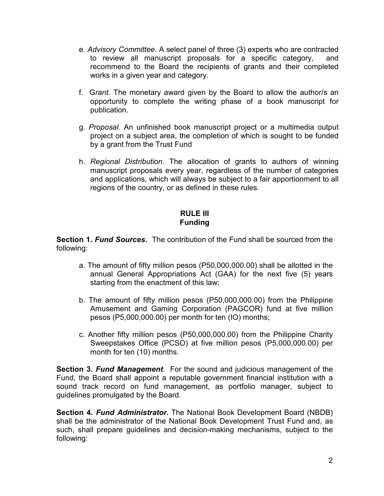- e. Advisory Committee. A select panel of three (3) experts who are contracted to review all manuscript proposals for a specific category, and recommend to the Board the recipients of grants and their completed works in a given year and category.
- f. Grant. The monetary award given by the Board to allow the author/s an opportunity to complete the writing phase of a book manuscript for publication.
- g. Proposal. An unfinished book manuscript project or a multimedia output project on a subject area, the completion of which is sought to be funded by a grant from the Trust Fund
- h. Regional Distribution. The allocation of grants to authors of winning manuscript proposals every year, regardless of the number of categories and applications, which will always be subject to a fair apportionment to all regions of the country, or as defined in these rules.

# RULE III Funding

**Section 1. Fund Sources.** The contribution of the Fund shall be sourced from the following:

- a. The amount of fifty million pesos (P50,000,000.00) shall be allotted in the annual General Appropriations Act (GAA) for the next five (5) years starting from the enactment of this law;
- b. The amount of fifty million pesos (P50,000,000.00) from the Philippine Amusement and Gaming Corporation (PAGCOR) fund at five million pesos (P5,000,000.00) per month for ten (IO) months;
- c. Another fifty million pesos (P50,000,000.00) from the Philippine Charity Sweepstakes Office (PCSO) at five million pesos (P5,000,000.00) per month for ten (10) months.

Section 3. Fund Management. For the sound and judicious management of the Fund, the Board shall appoint a reputable government financial institution with a sound track record on fund management, as portfolio manager, subject to guidelines promulgated by the Board.

Section 4. Fund Administrator. The National Book Development Board (NBDB) shall be the administrator of the National Book Development Trust Fund and, as such, shall prepare guidelines and decision-making mechanisms, subject to the following: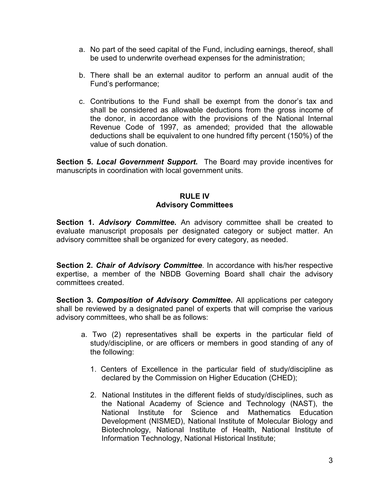- a. No part of the seed capital of the Fund, including earnings, thereof, shall be used to underwrite overhead expenses for the administration;
- b. There shall be an external auditor to perform an annual audit of the Fund's performance;
- c. Contributions to the Fund shall be exempt from the donor's tax and shall be considered as allowable deductions from the gross income of the donor, in accordance with the provisions of the National Internal Revenue Code of 1997, as amended; provided that the allowable deductions shall be equivalent to one hundred fifty percent (150%) of the value of such donation.

Section 5. Local Government Support. The Board may provide incentives for manuscripts in coordination with local government units.

# RULE IV Advisory Committees

Section 1. Advisory Committee. An advisory committee shall be created to evaluate manuscript proposals per designated category or subject matter. An advisory committee shall be organized for every category, as needed.

Section 2. Chair of Advisory Committee. In accordance with his/her respective expertise, a member of the NBDB Governing Board shall chair the advisory committees created.

Section 3. Composition of Advisory Committee. All applications per category shall be reviewed by a designated panel of experts that will comprise the various advisory committees, who shall be as follows:

- a. Two (2) representatives shall be experts in the particular field of study/discipline, or are officers or members in good standing of any of the following:
	- 1. Centers of Excellence in the particular field of study/discipline as declared by the Commission on Higher Education (CHED);
	- 2. National Institutes in the different fields of study/disciplines, such as the National Academy of Science and Technology (NAST), the National Institute for Science and Mathematics Education Development (NISMED), National Institute of Molecular Biology and Biotechnology, National Institute of Health, National Institute of Information Technology, National Historical Institute;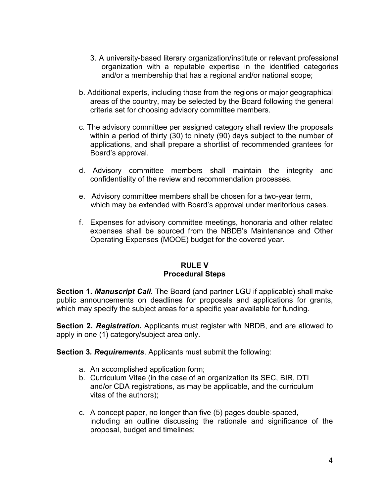- 3. A university-based literary organization/institute or relevant professional organization with a reputable expertise in the identified categories and/or a membership that has a regional and/or national scope;
- b. Additional experts, including those from the regions or major geographical areas of the country, may be selected by the Board following the general criteria set for choosing advisory committee members.
- c. The advisory committee per assigned category shall review the proposals within a period of thirty (30) to ninety (90) days subject to the number of applications, and shall prepare a shortlist of recommended grantees for Board's approval.
- d. Advisory committee members shall maintain the integrity and confidentiality of the review and recommendation processes.
- e. Advisory committee members shall be chosen for a two-year term, which may be extended with Board's approval under meritorious cases.
- f. Expenses for advisory committee meetings, honoraria and other related expenses shall be sourced from the NBDB's Maintenance and Other Operating Expenses (MOOE) budget for the covered year.

### RULE V Procedural Steps

Section 1. Manuscript Call. The Board (and partner LGU if applicable) shall make public announcements on deadlines for proposals and applications for grants, which may specify the subject areas for a specific year available for funding.

Section 2. Registration. Applicants must register with NBDB, and are allowed to apply in one (1) category/subject area only.

Section 3. Requirements. Applicants must submit the following:

- a. An accomplished application form;
- b. Curriculum Vitae (in the case of an organization its SEC, BIR, DTI and/or CDA registrations, as may be applicable, and the curriculum vitas of the authors);
- c. A concept paper, no longer than five (5) pages double-spaced, including an outline discussing the rationale and significance of the proposal, budget and timelines;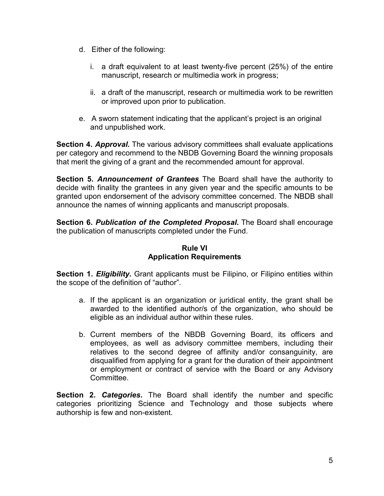- d. Either of the following:
	- i. a draft equivalent to at least twenty-five percent (25%) of the entire manuscript, research or multimedia work in progress;
	- ii. a draft of the manuscript, research or multimedia work to be rewritten or improved upon prior to publication.
- e. A sworn statement indicating that the applicant's project is an original and unpublished work.

Section 4. Approval. The various advisory committees shall evaluate applications per category and recommend to the NBDB Governing Board the winning proposals that merit the giving of a grant and the recommended amount for approval.

Section 5. Announcement of Grantees The Board shall have the authority to decide with finality the grantees in any given year and the specific amounts to be granted upon endorsement of the advisory committee concerned. The NBDB shall announce the names of winning applicants and manuscript proposals.

**Section 6. Publication of the Completed Proposal.** The Board shall encourage the publication of manuscripts completed under the Fund.

## Rule VI Application Requirements

**Section 1. Eligibility.** Grant applicants must be Filipino, or Filipino entities within the scope of the definition of "author".

- a. If the applicant is an organization or juridical entity, the grant shall be awarded to the identified author/s of the organization, who should be eligible as an individual author within these rules.
- b. Current members of the NBDB Governing Board, its officers and employees, as well as advisory committee members, including their relatives to the second degree of affinity and/or consanguinity, are disqualified from applying for a grant for the duration of their appointment or employment or contract of service with the Board or any Advisory Committee.

**Section 2. Categories.** The Board shall identify the number and specific categories prioritizing Science and Technology and those subjects where authorship is few and non-existent.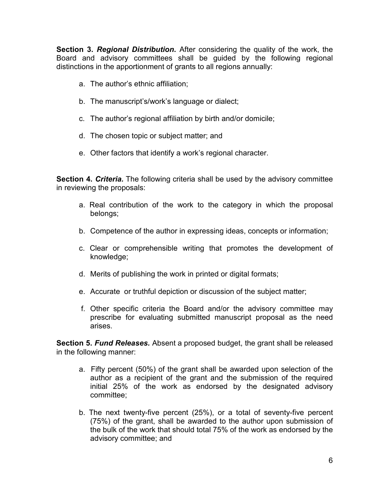Section 3. Regional Distribution. After considering the quality of the work, the Board and advisory committees shall be guided by the following regional distinctions in the apportionment of grants to all regions annually:

- a. The author's ethnic affiliation;
- b. The manuscript's/work's language or dialect;
- c. The author's regional affiliation by birth and/or domicile;
- d. The chosen topic or subject matter; and
- e. Other factors that identify a work's regional character.

Section 4. Criteria. The following criteria shall be used by the advisory committee in reviewing the proposals:

- a. Real contribution of the work to the category in which the proposal belongs;
- b. Competence of the author in expressing ideas, concepts or information;
- c. Clear or comprehensible writing that promotes the development of knowledge;
- d. Merits of publishing the work in printed or digital formats;
- e. Accurate or truthful depiction or discussion of the subject matter;
- f. Other specific criteria the Board and/or the advisory committee may prescribe for evaluating submitted manuscript proposal as the need arises.

Section 5. Fund Releases. Absent a proposed budget, the grant shall be released in the following manner:

- a. Fifty percent (50%) of the grant shall be awarded upon selection of the author as a recipient of the grant and the submission of the required initial 25% of the work as endorsed by the designated advisory committee;
- b. The next twenty-five percent (25%), or a total of seventy-five percent (75%) of the grant, shall be awarded to the author upon submission of the bulk of the work that should total 75% of the work as endorsed by the advisory committee; and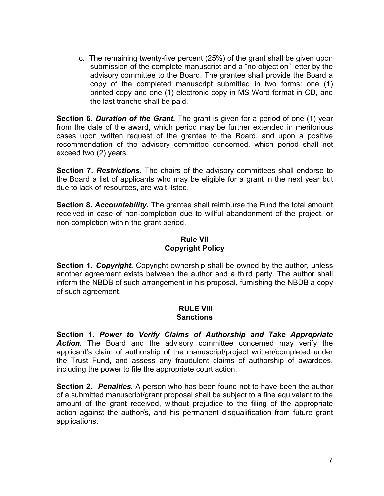c. The remaining twenty-five percent (25%) of the grant shall be given upon submission of the complete manuscript and a "no objection" letter by the advisory committee to the Board. The grantee shall provide the Board a copy of the completed manuscript submitted in two forms: one (1) printed copy and one (1) electronic copy in MS Word format in CD, and the last tranche shall be paid.

**Section 6. Duration of the Grant.** The grant is given for a period of one (1) year from the date of the award, which period may be further extended in meritorious cases upon written request of the grantee to the Board, and upon a positive recommendation of the advisory committee concerned, which period shall not exceed two (2) years.

**Section 7. Restrictions.** The chairs of the advisory committees shall endorse to the Board a list of applicants who may be eligible for a grant in the next year but due to lack of resources, are wait-listed.

**Section 8. Accountability.** The grantee shall reimburse the Fund the total amount received in case of non-completion due to willful abandonment of the project, or non-completion within the grant period.

## Rule VII Copyright Policy

**Section 1. Copyright.** Copyright ownership shall be owned by the author, unless another agreement exists between the author and a third party. The author shall inform the NBDB of such arrangement in his proposal, furnishing the NBDB a copy of such agreement.

#### RULE VIII **Sanctions**

Section 1. Power to Verify Claims of Authorship and Take Appropriate Action. The Board and the advisory committee concerned may verify the applicant's claim of authorship of the manuscript/project written/completed under the Trust Fund, and assess any fraudulent claims of authorship of awardees, including the power to file the appropriate court action.

Section 2. Penalties. A person who has been found not to have been the author of a submitted manuscript/grant proposal shall be subject to a fine equivalent to the amount of the grant received, without prejudice to the filing of the appropriate action against the author/s, and his permanent disqualification from future grant applications.